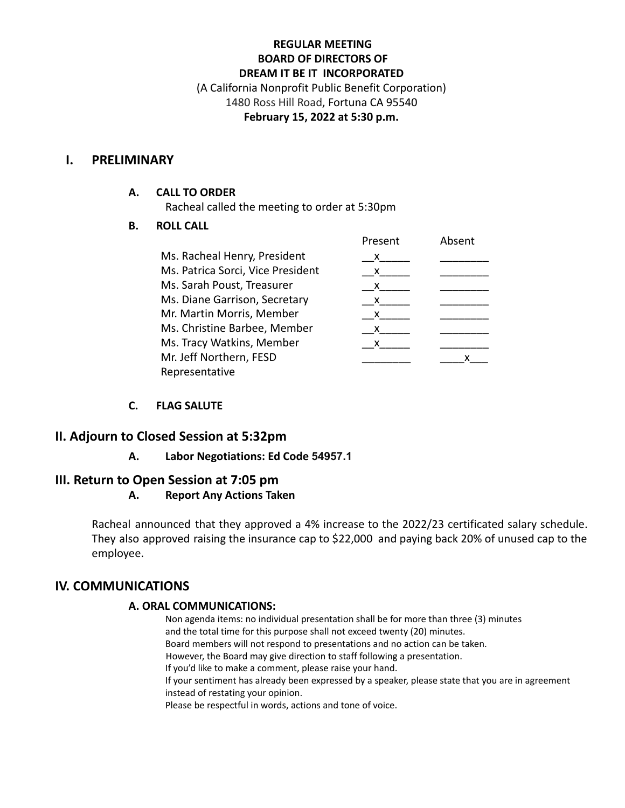# **REGULAR MEETING BOARD OF DIRECTORS OF DREAM IT BE IT INCORPORATED**

(A California Nonprofit Public Benefit Corporation) 1480 Ross Hill Road, Fortuna CA 95540 **February 15, 2022 at 5:30 p.m.**

## **I. PRELIMINARY**

#### **A. CALL TO ORDER**

Racheal called the meeting to order at 5:30pm

#### **B. ROLL CALL**

|                                   | Present | Absent |
|-----------------------------------|---------|--------|
| Ms. Racheal Henry, President      | x       |        |
| Ms. Patrica Sorci, Vice President | X       |        |
| Ms. Sarah Poust, Treasurer        | X       |        |
| Ms. Diane Garrison, Secretary     | X       |        |
| Mr. Martin Morris, Member         | x       |        |
| Ms. Christine Barbee, Member      | X.      |        |
| Ms. Tracy Watkins, Member         | x       |        |
| Mr. Jeff Northern, FESD           |         |        |
| Representative                    |         |        |

## **C. FLAG SALUTE**

# **II. Adjourn to Closed Session at 5:32pm**

## **A. Labor Negotiations: Ed Code 54957.1**

# **III. Return to Open Session at 7:05 pm**

## **A. Report Any Actions Taken**

Racheal announced that they approved a 4% increase to the 2022/23 certificated salary schedule. They also approved raising the insurance cap to \$22,000 and paying back 20% of unused cap to the employee.

# **IV. COMMUNICATIONS**

## **A. ORAL COMMUNICATIONS:**

Non agenda items: no individual presentation shall be for more than three (3) minutes and the total time for this purpose shall not exceed twenty (20) minutes. Board members will not respond to presentations and no action can be taken. However, the Board may give direction to staff following a presentation. If you'd like to make a comment, please raise your hand. If your sentiment has already been expressed by a speaker, please state that you are in agreement instead of restating your opinion.

Please be respectful in words, actions and tone of voice.